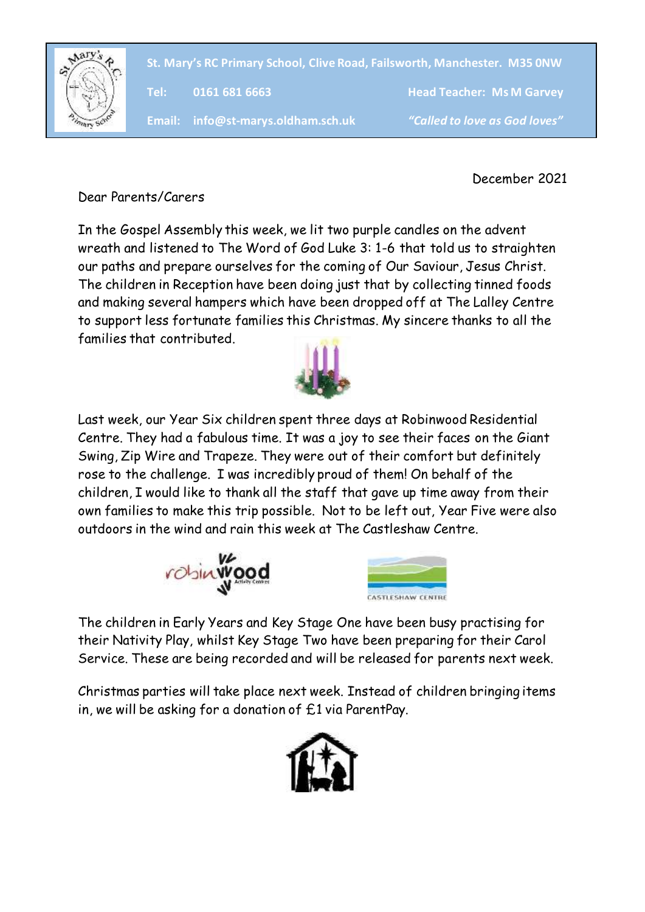

**St. Mary's RC Primary School, Clive Road, Failsworth, Manchester. M35 0NW**

Tel: 0161 681 6663

**Email: info@st-marys.oldham.sch.uk** *"Called to love as God loves"*

**Head Teacher: Ms M Garvey** 

December 2021

Dear Parents/Carers

In the Gospel Assembly this week, we lit two purple candles on the advent wreath and listened to The Word of God Luke 3: 1-6 that told us to straighten our paths and prepare ourselves for the coming of Our Saviour, Jesus Christ. The children in Reception have been doing just that by collecting tinned foods and making several hampers which have been dropped off at The Lalley Centre to support less fortunate families this Christmas. My sincere thanks to all the families that contributed.



Last week, our Year Six children spent three days at Robinwood Residential Centre. They had a fabulous time. It was a joy to see their faces on the Giant Swing, Zip Wire and Trapeze. They were out of their comfort but definitely rose to the challenge. I was incredibly proud of them! On behalf of the children, I would like to thank all the staff that gave up time away from their own families to make this trip possible. Not to be left out, Year Five were also outdoors in the wind and rain this week at The Castleshaw Centre.





The children in Early Years and Key Stage One have been busy practising for their Nativity Play, whilst Key Stage Two have been preparing for their Carol Service. These are being recorded and will be released for parents next week.

Christmas parties will take place next week. Instead of children bringing items in, we will be asking for a donation of £1 via ParentPay.

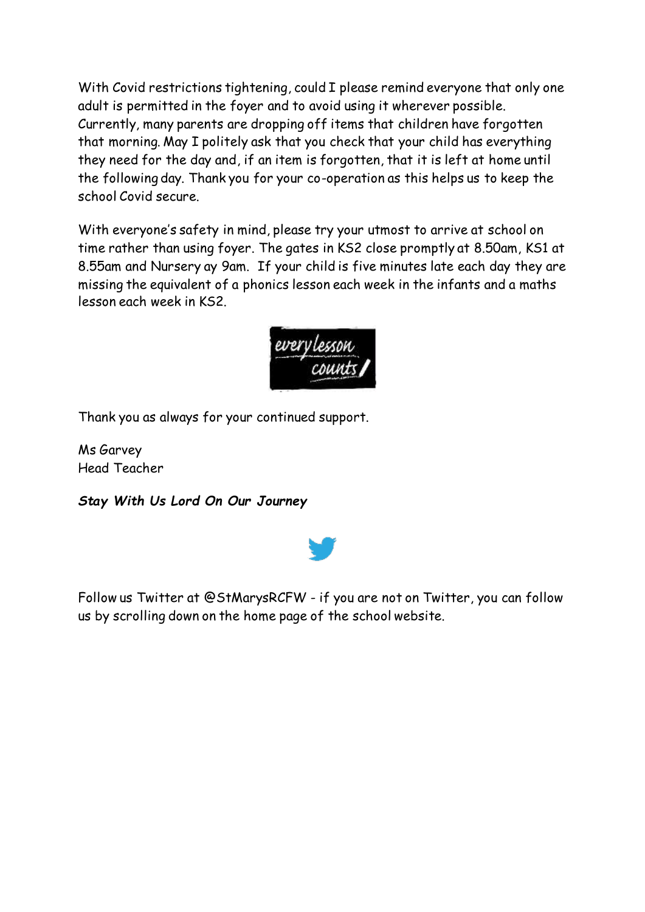With Covid restrictions tightening, could I please remind everyone that only one adult is permitted in the foyer and to avoid using it wherever possible. Currently, many parents are dropping off items that children have forgotten that morning. May I politely ask that you check that your child has everything they need for the day and, if an item is forgotten, that it is left at home until the following day. Thank you for your co-operation as this helps us to keep the school Covid secure.

With everyone's safety in mind, please try your utmost to arrive at school on time rather than using foyer. The gates in KS2 close promptly at 8.50am, KS1 at 8.55am and Nursery ay 9am. If your child is five minutes late each day they are missing the equivalent of a phonics lesson each week in the infants and a maths lesson each week in KS2.



Thank you as always for your continued support.

Ms Garvey Head Teacher

*Stay With Us Lord On Our Journey*



Follow us Twitter at @StMarysRCFW - if you are not on Twitter, you can follow us by scrolling down on the home page of the school website.